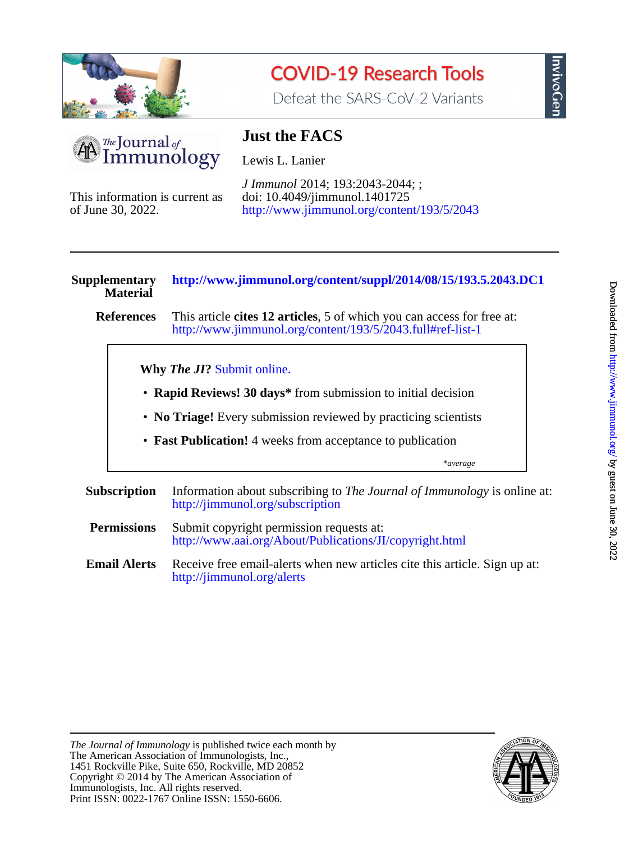

# **COVID-19 Research Tools**

Defeat the SARS-CoV-2 Variants



of June 30, 2022. This information is current as

## **Just the FACS**

Lewis L. Lanier

<http://www.jimmunol.org/content/193/5/2043> doi: 10.4049/jimmunol.1401725 *J Immunol* 2014; 193:2043-2044; ;

| <b>Supplementary</b><br><b>Material</b>                    | http://www.jimmunol.org/content/suppl/2014/08/15/193.5.2043.DC1                                                                      |
|------------------------------------------------------------|--------------------------------------------------------------------------------------------------------------------------------------|
| <b>References</b>                                          | This article cites 12 articles, 5 of which you can access for free at:<br>http://www.jimmunol.org/content/193/5/2043.full#ref-list-1 |
|                                                            | <b>Why The JI?</b> Submit online.                                                                                                    |
|                                                            | • Rapid Reviews! 30 days* from submission to initial decision                                                                        |
|                                                            | • No Triage! Every submission reviewed by practicing scientists                                                                      |
| • Fast Publication! 4 weeks from acceptance to publication |                                                                                                                                      |
|                                                            | *average                                                                                                                             |
| <b>Subscription</b>                                        | Information about subscribing to <i>The Journal of Immunology</i> is online at:<br>http://jimmunol.org/subscription                  |

- **Permissions** <http://www.aai.org/About/Publications/JI/copyright.html> Submit copyright permission requests at:
- **Email Alerts** <http://jimmunol.org/alerts> Receive free email-alerts when new articles cite this article. Sign up at:



InvivoGen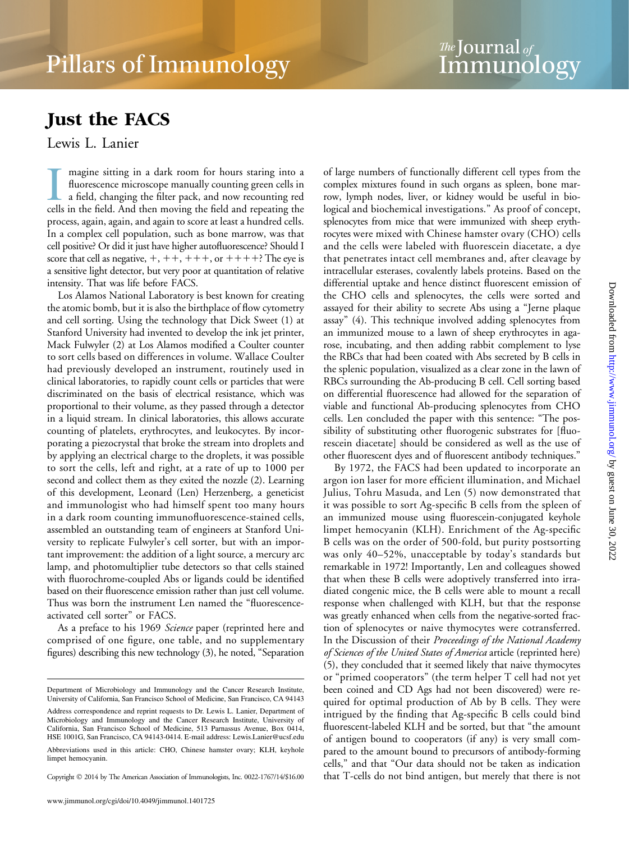### Just the FACS

Lewis L. Lanier

Imagine sitting in a dark room for hours staring into a fluorescence microscope manually counting green cells in a field, changing the filter pack, and now recounting red cells in the field. And then moving the field and r magine sitting in a dark room for hours staring into a fluorescence microscope manually counting green cells in a field, changing the filter pack, and now recounting red process, again, again, and again to score at least a hundred cells. In a complex cell population, such as bone marrow, was that cell positive? Or did it just have higher autofluorescence? Should I score that cell as negative,  $+, ++, +++,$  or  $++++$ ? The eye is a sensitive light detector, but very poor at quantitation of relative intensity. That was life before FACS.

Los Alamos National Laboratory is best known for creating the atomic bomb, but it is also the birthplace of flow cytometry and cell sorting. Using the technology that Dick Sweet (1) at Stanford University had invented to develop the ink jet printer, Mack Fulwyler (2) at Los Alamos modified a Coulter counter to sort cells based on differences in volume. Wallace Coulter had previously developed an instrument, routinely used in clinical laboratories, to rapidly count cells or particles that were discriminated on the basis of electrical resistance, which was proportional to their volume, as they passed through a detector in a liquid stream. In clinical laboratories, this allows accurate counting of platelets, erythrocytes, and leukocytes. By incorporating a piezocrystal that broke the stream into droplets and by applying an electrical charge to the droplets, it was possible to sort the cells, left and right, at a rate of up to 1000 per second and collect them as they exited the nozzle (2). Learning of this development, Leonard (Len) Herzenberg, a geneticist and immunologist who had himself spent too many hours in a dark room counting immunofluorescence-stained cells, assembled an outstanding team of engineers at Stanford University to replicate Fulwyler's cell sorter, but with an important improvement: the addition of a light source, a mercury arc lamp, and photomultiplier tube detectors so that cells stained with fluorochrome-coupled Abs or ligands could be identified based on their fluorescence emission rather than just cell volume. Thus was born the instrument Len named the "fluorescenceactivated cell sorter" or FACS.

As a preface to his 1969 Science paper (reprinted here and comprised of one figure, one table, and no supplementary figures) describing this new technology (3), he noted, "Separation

of large numbers of functionally different cell types from the complex mixtures found in such organs as spleen, bone marrow, lymph nodes, liver, or kidney would be useful in biological and biochemical investigations." As proof of concept, splenocytes from mice that were immunized with sheep erythrocytes were mixed with Chinese hamster ovary (CHO) cells and the cells were labeled with fluorescein diacetate, a dye that penetrates intact cell membranes and, after cleavage by intracellular esterases, covalently labels proteins. Based on the differential uptake and hence distinct fluorescent emission of the CHO cells and splenocytes, the cells were sorted and assayed for their ability to secrete Abs using a "Jerne plaque assay" (4). This technique involved adding splenocytes from an immunized mouse to a lawn of sheep erythrocytes in agarose, incubating, and then adding rabbit complement to lyse the RBCs that had been coated with Abs secreted by B cells in the splenic population, visualized as a clear zone in the lawn of RBCs surrounding the Ab-producing B cell. Cell sorting based on differential fluorescence had allowed for the separation of viable and functional Ab-producing splenocytes from CHO cells. Len concluded the paper with this sentence: "The possibility of substituting other fluorogenic substrates for [fluorescein diacetate] should be considered as well as the use of other fluorescent dyes and of fluorescent antibody techniques."

By 1972, the FACS had been updated to incorporate an argon ion laser for more efficient illumination, and Michael Julius, Tohru Masuda, and Len (5) now demonstrated that it was possible to sort Ag-specific B cells from the spleen of an immunized mouse using fluorescein-conjugated keyhole limpet hemocyanin (KLH). Enrichment of the Ag-specific B cells was on the order of 500-fold, but purity postsorting was only 40–52%, unacceptable by today's standards but remarkable in 1972! Importantly, Len and colleagues showed that when these B cells were adoptively transferred into irradiated congenic mice, the B cells were able to mount a recall response when challenged with KLH, but that the response was greatly enhanced when cells from the negative-sorted fraction of splenocytes or naive thymocytes were cotransferred. In the Discussion of their Proceedings of the National Academy of Sciences of the United States of America article (reprinted here) (5), they concluded that it seemed likely that naive thymocytes or "primed cooperators" (the term helper T cell had not yet been coined and CD Ags had not been discovered) were required for optimal production of Ab by B cells. They were intrigued by the finding that Ag-specific B cells could bind fluorescent-labeled KLH and be sorted, but that "the amount of antigen bound to cooperators (if any) is very small compared to the amount bound to precursors of antibody-forming cells," and that "Our data should not be taken as indication that T-cells do not bind antigen, but merely that there is not

Department of Microbiology and Immunology and the Cancer Research Institute, University of California, San Francisco School of Medicine, San Francisco, CA 94143

Address correspondence and reprint requests to Dr. Lewis L. Lanier, Department of Microbiology and Immunology and the Cancer Research Institute, University of California, San Francisco School of Medicine, 513 Parnassus Avenue, Box 0414, HSE 1001G, San Francisco, CA 94143-0414. E-mail address: [Lewis.Lanier@ucsf.edu](mailto:Lewis.Lanier@ucsf.edu)

Abbreviations used in this article: CHO, Chinese hamster ovary; KLH, keyhole limpet hemocyanin.

Copyright 2014 by The American Association of Immunologists, Inc. 0022-1767/14/\$16.00